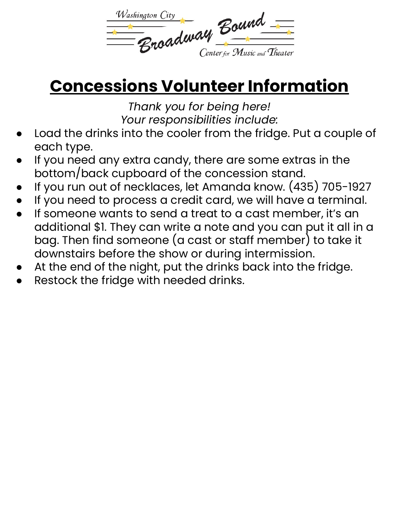

## **Concessions Volunteer Information**

*Thank you for being here! Your responsibilities include:*

- Load the drinks into the cooler from the fridge. Put a couple of each type.
- If you need any extra candy, there are some extras in the bottom/back cupboard of the concession stand.
- If you run out of necklaces, let Amanda know. (435) 705-1927
- If you need to process a credit card, we will have a terminal.
- If someone wants to send a treat to a cast member, it's an additional \$1. They can write a note and you can put it all in a bag. Then find someone (a cast or staff member) to take it downstairs before the show or during intermission.
- At the end of the night, put the drinks back into the fridge.
- Restock the fridge with needed drinks.